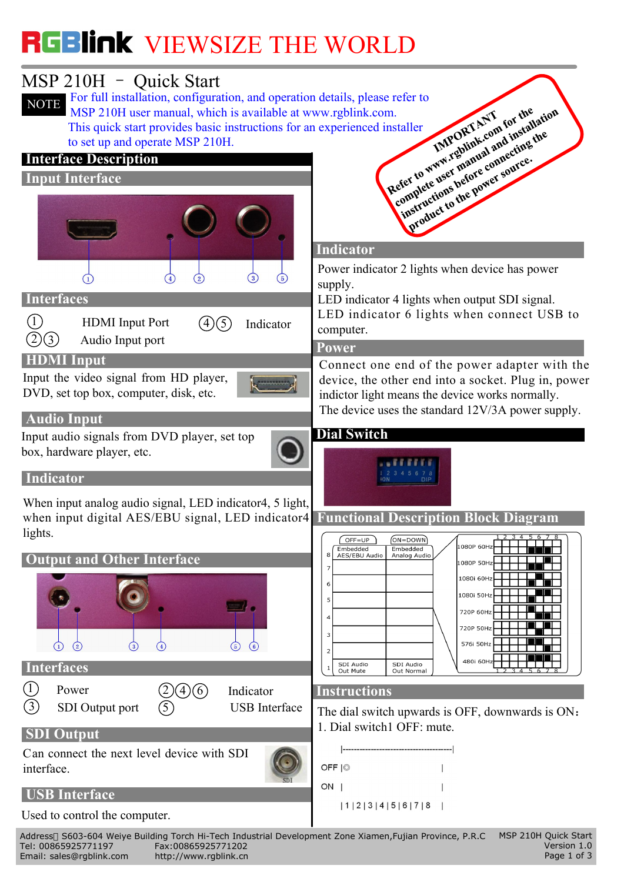## VIEWS VIEWS THE WORLD TO THE WORLD THE WORLD THE WORLD THE WORLD THE WORLD THE WORLD THE WORLD THE WORLD THE WORLD THE WORLD THE WORLD THE WORLD THE WORLD THE WORLD THE WORLD THE WORLD THE WORLD THE WORLD THE WORLD THE WOR



Version 1.0 Page 1 of 3 Address S603-604 Weiye Building Torch Hi-Tech Industrial Development Zone Xiamen,Fujian Province, P.R.C Tel: 00865925771197 Fax:00865925771202 Email: sales@rgblink.com http://www.rgblink.cn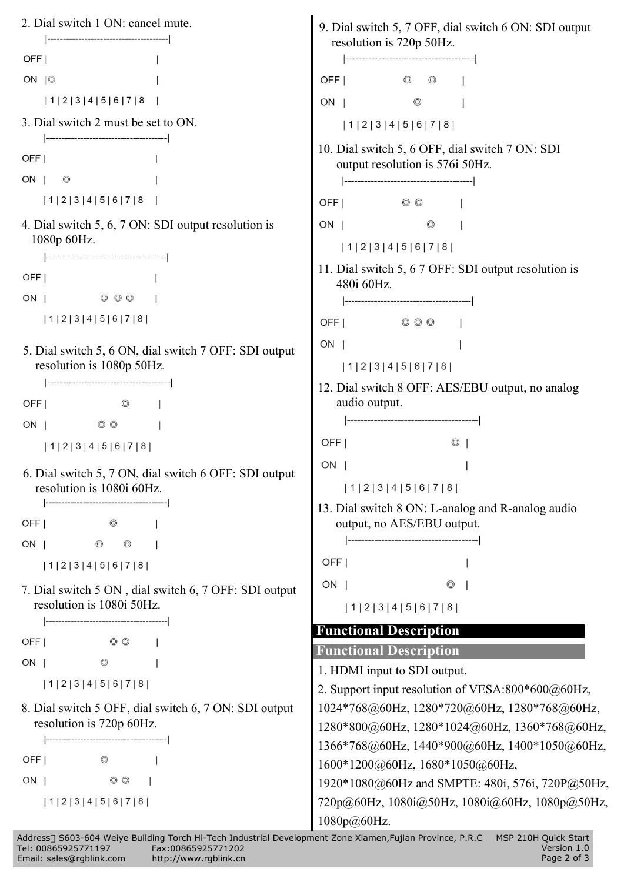

|                          | -Address - S603-604 Weive Building Torch Hi-Tech Industrial Development Zone Xiamen,Fujian Province, P.R.C - MSP 210H Quick |         |
|--------------------------|-----------------------------------------------------------------------------------------------------------------------------|---------|
| Tel: 00865925771197      | Fax:00865925771202                                                                                                          | Versioı |
| Email: sales@rgblink.com | http://www.rqblink.cn                                                                                                       | Page 2  |

 $\overline{1.0}$ of 3